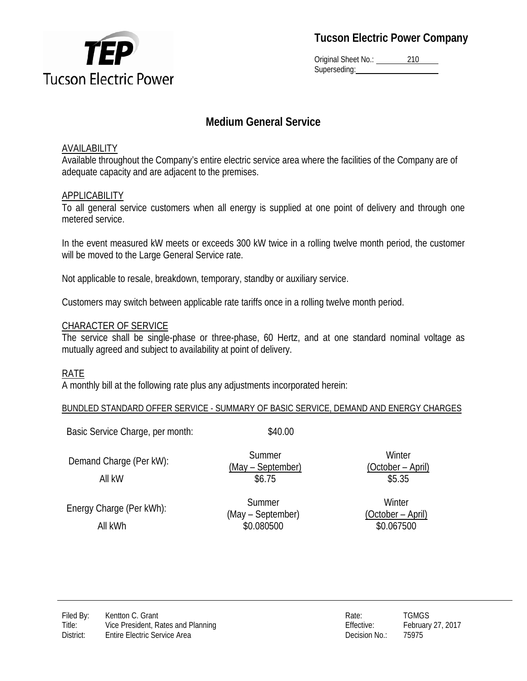

**Tucson Electric Power Company**

Original Sheet No.: 210 Superseding:

# **Medium General Service**

### AVAILABILITY

Available throughout the Company's entire electric service area where the facilities of the Company are of adequate capacity and are adjacent to the premises.

### **APPLICABILITY**

To all general service customers when all energy is supplied at one point of delivery and through one metered service.

In the event measured kW meets or exceeds 300 kW twice in a rolling twelve month period, the customer will be moved to the Large General Service rate.

Not applicable to resale, breakdown, temporary, standby or auxiliary service.

Customers may switch between applicable rate tariffs once in a rolling twelve month period.

### CHARACTER OF SERVICE

The service shall be single-phase or three-phase, 60 Hertz, and at one standard nominal voltage as mutually agreed and subject to availability at point of delivery.

### RATE

A monthly bill at the following rate plus any adjustments incorporated herein:

#### BUNDLED STANDARD OFFER SERVICE - SUMMARY OF BASIC SERVICE, DEMAND AND ENERGY CHARGES

Basic Service Charge, per month:  $$40.00$ 

Demand Charge (Per kW): Summer

Energy Charge (Per kWh): Summer All kWh  $$0.080500$   $$0.067500$ 

(May – September)

(May – September)

**Winter** (October – April) All kW \$6.75 \$5.35

> **Winter** (October – April)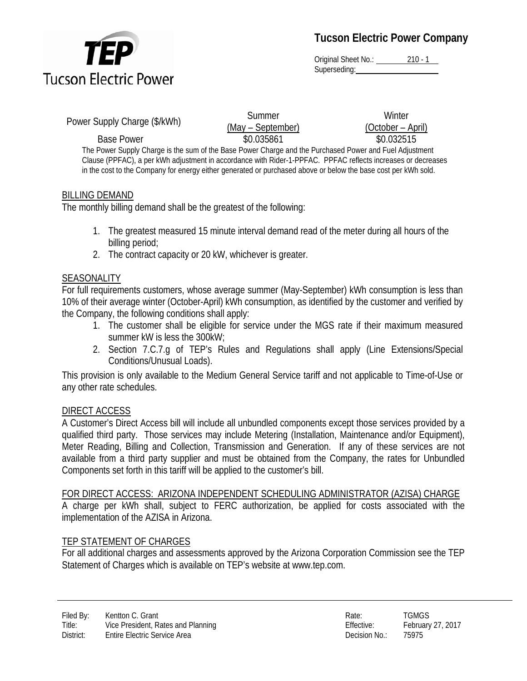

**Tucson Electric Power Company**

Original Sheet No.: 210 - 1 Superseding:

Power Supply Charge (\$/kWh) Summer

(May – September)

**Winter** (October – April) Base Power  $$0.035861$   $$0.032515$ 

The Power Supply Charge is the sum of the Base Power Charge and the Purchased Power and Fuel Adjustment Clause (PPFAC), a per kWh adjustment in accordance with Rider-1-PPFAC. PPFAC reflects increases or decreases in the cost to the Company for energy either generated or purchased above or below the base cost per kWh sold.

# BILLING DEMAND

The monthly billing demand shall be the greatest of the following:

- 1. The greatest measured 15 minute interval demand read of the meter during all hours of the billing period;
- 2. The contract capacity or 20 kW, whichever is greater.

# **SEASONALITY**

For full requirements customers, whose average summer (May-September) kWh consumption is less than 10% of their average winter (October-April) kWh consumption, as identified by the customer and verified by the Company, the following conditions shall apply:

- 1. The customer shall be eligible for service under the MGS rate if their maximum measured summer kW is less the 300kW;
- 2. Section 7.C.7.g of TEP's Rules and Regulations shall apply (Line Extensions/Special Conditions/Unusual Loads).

This provision is only available to the Medium General Service tariff and not applicable to Time-of-Use or any other rate schedules.

# DIRECT ACCESS

A Customer's Direct Access bill will include all unbundled components except those services provided by a qualified third party. Those services may include Metering (Installation, Maintenance and/or Equipment), Meter Reading, Billing and Collection, Transmission and Generation. If any of these services are not available from a third party supplier and must be obtained from the Company, the rates for Unbundled Components set forth in this tariff will be applied to the customer's bill.

### FOR DIRECT ACCESS: ARIZONA INDEPENDENT SCHEDULING ADMINISTRATOR (AZISA) CHARGE

A charge per kWh shall, subject to FERC authorization, be applied for costs associated with the implementation of the AZISA in Arizona.

# TEP STATEMENT OF CHARGES

For all additional charges and assessments approved by the Arizona Corporation Commission see the TEP Statement of Charges which is available on TEP's website at www.tep.com.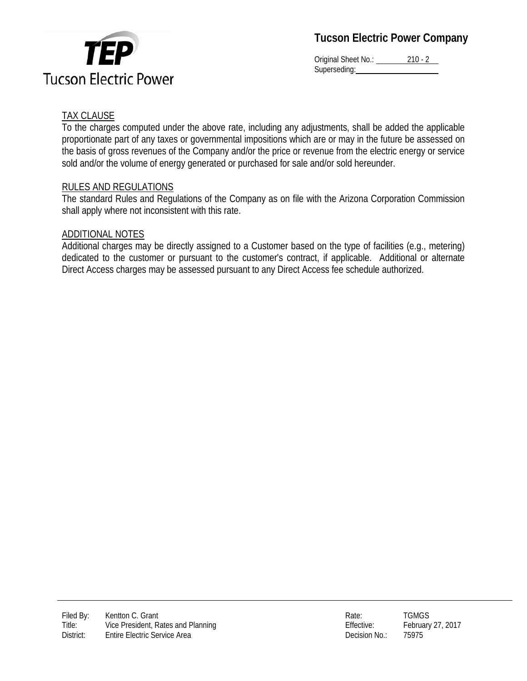

**Tucson Electric Power Company**

Original Sheet No.: 210 - 2 Superseding:

## TAX CLAUSE

To the charges computed under the above rate, including any adjustments, shall be added the applicable proportionate part of any taxes or governmental impositions which are or may in the future be assessed on the basis of gross revenues of the Company and/or the price or revenue from the electric energy or service sold and/or the volume of energy generated or purchased for sale and/or sold hereunder.

#### RULES AND REGULATIONS

The standard Rules and Regulations of the Company as on file with the Arizona Corporation Commission shall apply where not inconsistent with this rate.

#### ADDITIONAL NOTES

Additional charges may be directly assigned to a Customer based on the type of facilities (e.g., metering) dedicated to the customer or pursuant to the customer's contract, if applicable. Additional or alternate Direct Access charges may be assessed pursuant to any Direct Access fee schedule authorized.